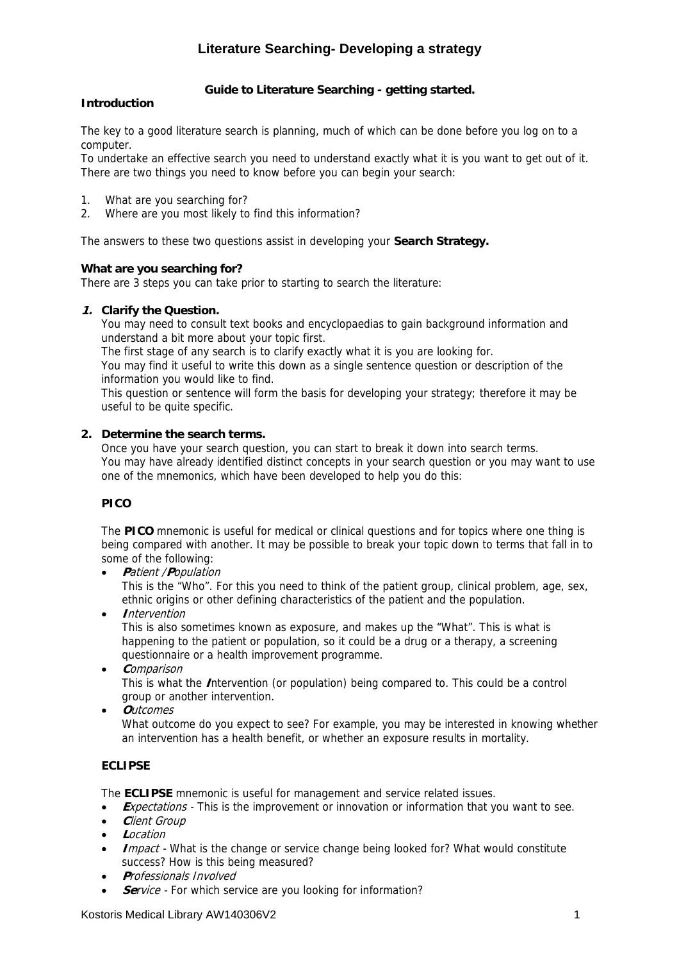# **Literature Searching- Developing a strategy**

## **Guide to Literature Searching - getting started.**

### **Introduction**

The key to a good literature search is planning, much of which can be done before you log on to a computer.

To undertake an effective search you need to understand exactly what it is you want to get out of it. There are two things you need to know before you can begin your search:

- 1. What are you searching for?
- 2. Where are you most likely to find this information?

The answers to these two questions assist in developing your **Search Strategy.** 

#### **What are you searching for?**

There are 3 steps you can take prior to starting to search the literature:

#### **1. Clarify the Question.**

You may need to consult text books and encyclopaedias to gain background information and understand a bit more about your topic first.

The first stage of any search is to clarify exactly what it is you are looking for.

You may find it useful to write this down as a single sentence question or description of the information you would like to find.

This question or sentence will form the basis for developing your strategy; therefore it may be useful to be quite specific.

#### **2. Determine the search terms.**

Once you have your search question, you can start to break it down into search terms. You may have already identified distinct concepts in your search question or you may want to use one of the mnemonics, which have been developed to help you do this:

#### **PICO**

The **PICO** mnemonic is useful for medical or clinical questions and for topics where one thing is being compared with another. It may be possible to break your topic down to terms that fall in to some of the following:

- **<sup>P</sup>**atient /**P**opulation This is the "Who". For this you need to think of the patient group, clinical problem, age, sex,
- ethnic origins or other defining characteristics of the patient and the population. • **I**ntervention

This is also sometimes known as exposure, and makes up the "What". This is what is happening to the patient or population, so it could be a drug or a therapy, a screening questionnaire or a health improvement programme.

- **<sup>C</sup>**omparison This is what the **I**ntervention (or population) being compared to. This could be a control group or another intervention.
- **O**utcomes What outcome do you expect to see? For example, you may be interested in knowing whether an intervention has a health benefit, or whether an exposure results in mortality.

#### **ECLIPSE**

The **ECLIPSE** mnemonic is useful for management and service related issues.

- **Expectations** This is the improvement or innovation or information that you want to see.
- **<sup>C</sup>**lient Group
- **L**ocation
- **I**mpact What is the change or service change being looked for? What would constitute success? How is this being measured?
- **P**rofessionals Involved
- **Service** For which service are you looking for information?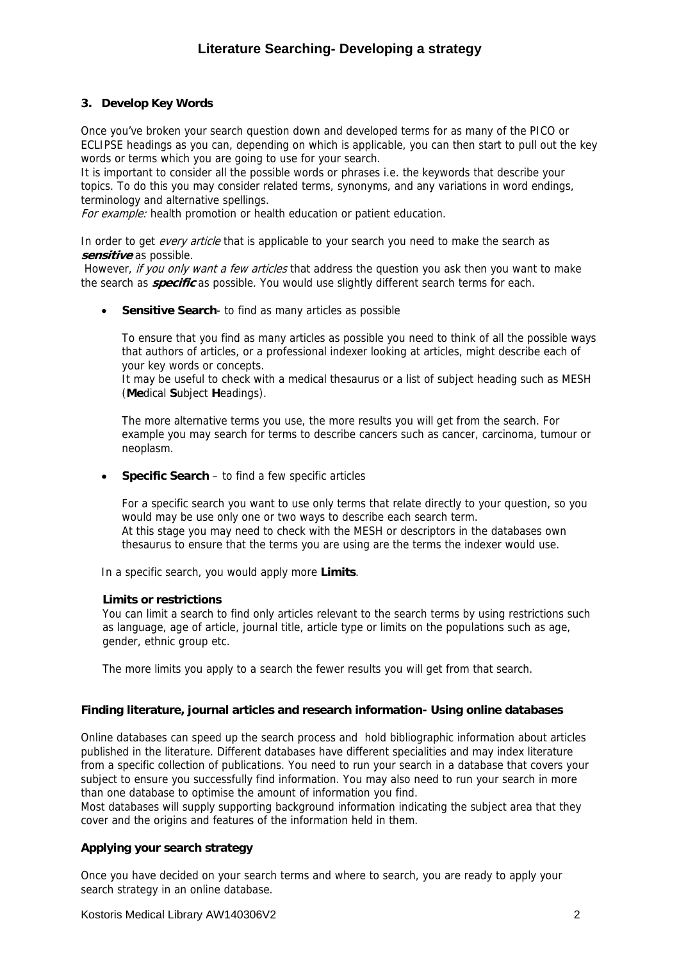### **3. Develop Key Words**

Once you've broken your search question down and developed terms for as many of the PICO or ECLIPSE headings as you can, depending on which is applicable, you can then start to pull out the key words or terms which you are going to use for your search.

It is important to consider all the possible words or phrases i.e. the keywords that describe your topics. To do this you may consider related terms, synonyms, and any variations in word endings, terminology and alternative spellings.

For example: health promotion or health education or patient education.

In order to get *every article* that is applicable to your search you need to make the search as **sensitive** as possible.

However, if you only want a few articles that address the question you ask then you want to make the search as **specific** as possible. You would use slightly different search terms for each.

• **Sensitive Search**- to find as many articles as possible

To ensure that you find as many articles as possible you need to think of all the possible ways that authors of articles, or a professional indexer looking at articles, might describe each of your key words or concepts.

It may be useful to check with a medical thesaurus or a list of subject heading such as MESH (**Me**dical **S**ubject **H**eadings).

The more alternative terms you use, the more results you will get from the search. For example you may search for terms to describe cancers such as cancer, carcinoma, tumour or neoplasm.

• **Specific Search** – to find a few specific articles

For a specific search you want to use only terms that relate directly to your question, so you would may be use only one or two ways to describe each search term. At this stage you may need to check with the MESH or descriptors in the databases own thesaurus to ensure that the terms you are using are the terms the indexer would use.

In a specific search, you would apply more **Limits**.

#### **Limits or restrictions**

You can limit a search to find only articles relevant to the search terms by using restrictions such as language, age of article, journal title, article type or limits on the populations such as age, gender, ethnic group etc.

The more limits you apply to a search the fewer results you will get from that search.

#### **Finding literature, journal articles and research information- Using online databases**

Online databases can speed up the search process and hold bibliographic information about articles published in the literature. Different databases have different specialities and may index literature from a specific collection of publications. You need to run your search in a database that covers your subject to ensure you successfully find information. You may also need to run your search in more than one database to optimise the amount of information you find.

Most databases will supply supporting background information indicating the subject area that they cover and the origins and features of the information held in them.

#### **Applying your search strategy**

Once you have decided on your search terms and where to search, you are ready to apply your search strategy in an online database.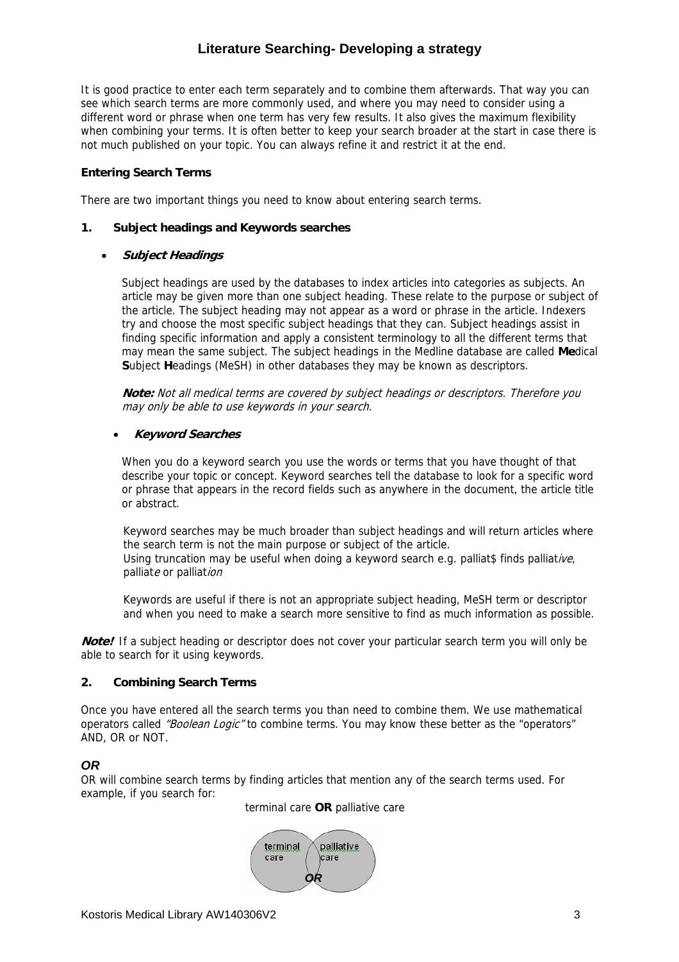## **Literature Searching- Developing a strategy**

It is good practice to enter each term separately and to combine them afterwards. That way you can see which search terms are more commonly used, and where you may need to consider using a different word or phrase when one term has very few results. It also gives the maximum flexibility when combining your terms. It is often better to keep your search broader at the start in case there is not much published on your topic. You can always refine it and restrict it at the end.

### **Entering Search Terms**

There are two important things you need to know about entering search terms.

#### **1. Subject headings and Keywords searches**

#### • **Subject Headings**

Subject headings are used by the databases to index articles into categories as subjects. An article may be given more than one subject heading. These relate to the purpose or subject of the article. The subject heading may not appear as a word or phrase in the article. Indexers try and choose the most specific subject headings that they can. Subject headings assist in finding specific information and apply a consistent terminology to all the different terms that may mean the same subject. The subject headings in the Medline database are called **Me**dical **S**ubject **H**eadings (MeSH) in other databases they may be known as descriptors.

**Note:** Not all medical terms are covered by subject headings or descriptors. Therefore you may only be able to use keywords in your search.

#### • **Keyword Searches**

When you do a keyword search you use the words or terms that you have thought of that describe your topic or concept. Keyword searches tell the database to look for a specific word or phrase that appears in the record fields such as anywhere in the document, the article title or abstract.

Keyword searches may be much broader than subject headings and will return articles where the search term is not the main purpose or subject of the article. Using truncation may be useful when doing a keyword search e.g. palliat\$ finds palliative, palliate or palliation

Keywords are useful if there is not an appropriate subject heading, MeSH term or descriptor and when you need to make a search more sensitive to find as much information as possible.

**Note!** If a subject heading or descriptor does not cover your particular search term you will only be able to search for it using keywords.

#### **2. Combining Search Terms**

Once you have entered all the search terms you than need to combine them. We use mathematical operators called "Boolean Logic" to combine terms. You may know these better as the "operators" AND, OR or NOT.

#### *OR*

OR will combine search terms by finding articles that mention any of the search terms used. For example, if you search for:

terminal care **OR** palliative care

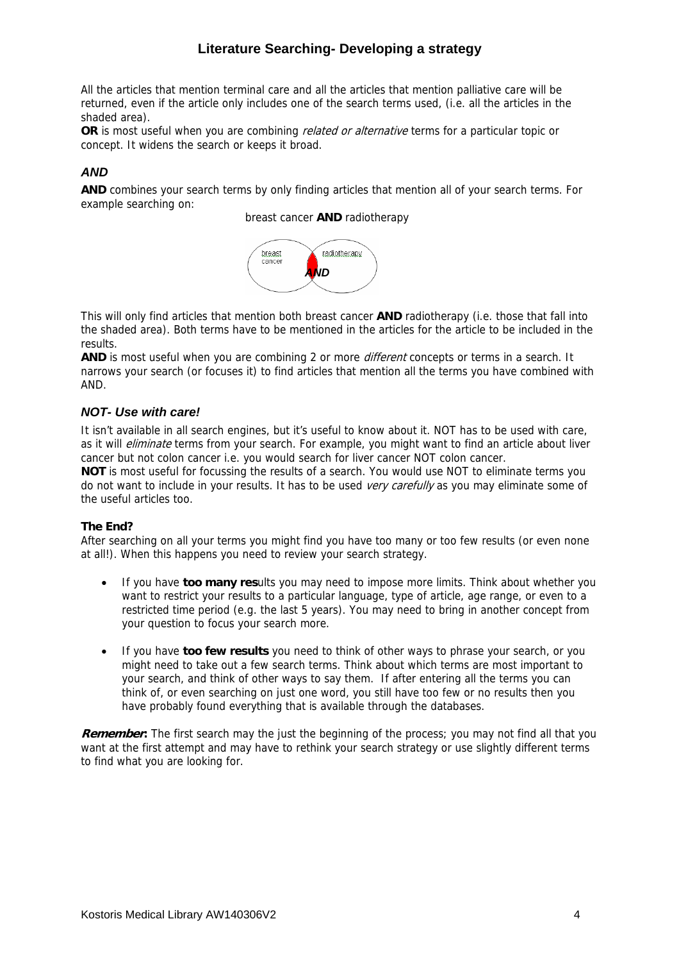## **Literature Searching- Developing a strategy**

All the articles that mention terminal care and all the articles that mention palliative care will be returned, even if the article only includes one of the search terms used, (i.e. all the articles in the shaded area).

**OR** is most useful when you are combining *related or alternative* terms for a particular topic or concept. It widens the search or keeps it broad.

## *AND*

**AND** combines your search terms by only finding articles that mention all of your search terms. For example searching on:

breast cancer **AND** radiotherapy



This will only find articles that mention both breast cancer **AND** radiotherapy (i.e. those that fall into the shaded area). Both terms have to be mentioned in the articles for the article to be included in the results.

**AND** is most useful when you are combining 2 or more *different* concepts or terms in a search. It narrows your search (or focuses it) to find articles that mention all the terms you have combined with AND.

#### *NOT- Use with care!*

It isn't available in all search engines, but it's useful to know about it. NOT has to be used with care, as it will *eliminate* terms from your search. For example, you might want to find an article about liver cancer but not colon cancer i.e. you would search for liver cancer NOT colon cancer.

**NOT** is most useful for focussing the results of a search. You would use NOT to eliminate terms you do not want to include in your results. It has to be used very carefully as you may eliminate some of the useful articles too.

#### **The End?**

After searching on all your terms you might find you have too many or too few results (or even none at all!). When this happens you need to review your search strategy.

- If you have **too many res**ults you may need to impose more limits. Think about whether you want to restrict your results to a particular language, type of article, age range, or even to a restricted time period (e.g. the last 5 years). You may need to bring in another concept from your question to focus your search more.
- If you have **too few results** you need to think of other ways to phrase your search, or you might need to take out a few search terms. Think about which terms are most important to your search, and think of other ways to say them. If after entering all the terms you can think of, or even searching on just one word, you still have too few or no results then you have probably found everything that is available through the databases.

**Remember:** The first search may the just the beginning of the process; you may not find all that you want at the first attempt and may have to rethink your search strategy or use slightly different terms to find what you are looking for.